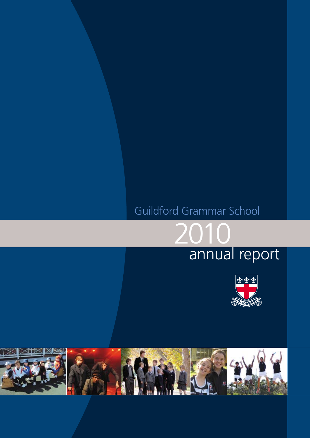# Guildford Grammar School

2010



annual report

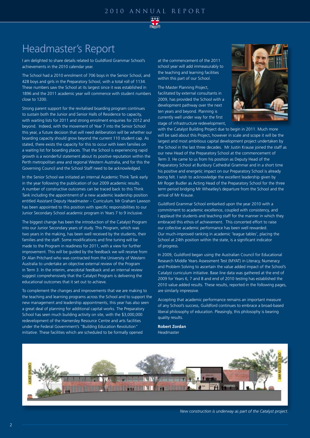

## Headmaster's Report

I am delighted to share details related to Guildford Grammar School's achievements in the 2010 calendar year.

The School had a 2010 enrolment of 706 boys in the Senior School, and 428 boys and girls in the Preparatory School, with a total roll of 1134. These numbers saw the School at its largest since it was established in 1896 and the 2011 academic year will commence with student numbers close to 1200.

Strong parent support for the revitalised boarding program continues to sustain both the Junior and Senior Halls of Residence to capacity, with waiting lists for 2011 and strong enrolment enquiries for 2012 and beyond. Indeed, with the movement of Year 7 into the Senior School this year, a future decision that will need deliberation will be whether our boarding capacity should grow beyond the current 110 student cap. As stated, there exists the capacity for this to occur with keen families on a waiting list for boarding places. That the School is experiencing rapid growth is a wonderful statement about its positive reputation within the Perth metropolitan area and regional Western Australia, and for this the Governing Council and the School Staff need to be acknowledged.

In the Senior School we initiated an internal Academic Think Tank early in the year following the publication of our 2009 academic results. A number of constructive outcomes can be traced back to this Think Tank including the appointment of a new academic leadership position entitled Assistant Deputy Headmaster – Curriculum. Mr Graham Lawson has been appointed to this position with specific responsibilities to our Junior Secondary School academic program in Years 7 to 9 inclusive.

The biggest change has been the introduction of the Catalyst Program into our Junior Secondary years of study. This Program, which was two years in the making, has been well received by the students, their families and the staff. Some modifications and fine tuning will be made to the Program in readiness for 2011, with a view for further improvement. This will be guided by the feedback we will receive from Dr Alan Pritchard who was contracted from the University of Western Australia to undertake an objective external review of the Program in Term 3. In the interim, anecdotal feedback and an internal review suggest comprehensively that the Catalyst Program is delivering the educational outcomes that it set out to achieve.

To complement the changes and improvements that we are making to the teaching and learning programs across the School and to support the new management and leadership appointments, this year has also seen a great deal of planning for additional capital works. The Preparatory School has seen much building activity on site, with the \$3,000,000 redevelopment of the Hamersley Resource Centre and arts facilities under the Federal Government's "Building Education Revolution" initiative. These facilities which are scheduled to be formally opened

at the commencement of the 2011 school year will add immeasurably to the teaching and learning facilities within this part of our School.

The Master Planning Project, facilitated by external consultants in 2009, has provided the School with a development pathway over the next ten years and beyond. Planning is currently well under way for the first stage of infrastructure redevelopment,



with the Catalyst Building Project due to begin in 2011. Much more will be said about this Project, however in scale and scope it will be the largest and most ambitious capital development project undertaken by the School in the last three decades. Mr Justin Krause joined the staff as our new Head of the Preparatory School at the commencement of Term 3. He came to us from his position as Deputy Head of the Preparatory School at Bunbury Cathedral Grammar and in a short time his positive and energetic impact on our Preparatory School is already being felt. I wish to acknowledge the excellent leadership given by Mr Roger Budler as Acting Head of the Preparatory School for the three term period bridging Mr Wheatley's departure from the School and the arrival of Mr Krause.

Guildford Grammar School embarked upon the year 2010 with a commitment to academic excellence, coupled with consistency, and I applaud the students and teaching staff for the manner in which they embraced this ethos of achievement. This concerted effort to raise our collective academic performance has been well rewarded. Our much-improved ranking in academic 'league tables', placing the School at 24th position within the state, is a significant indicator of progress.

In 2009, Guildford began using the Australian Council for Educational Research Middle Years Assessment Test (MYAT) in Literacy, Numeracy and Problem Solving to ascertain the value added impact of the School's Catalyst curriculum initiative. Base line data was gathered at the end of 2009 for Years 6, 7 and 8 and end of 2010 testing has established the 2010 value added results. These results, reported in the following pages, are similarly impressive.

Accepting that academic performance remains an important measure of any School's success, Guildford continues to embrace a broad-based liberal philosophy of education. Pleasingly, this philosophy is bearing quality results.

**Robert Zordan** Headmaster



*New construction is underway as part of the Catalyst project.*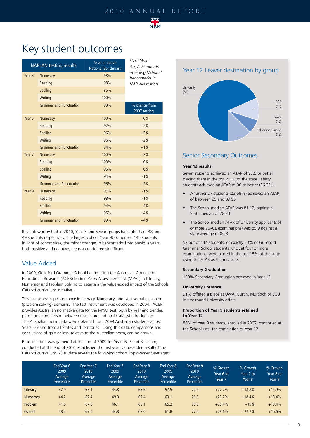

## Key student outcomes

|        | <b>NAPLAN testing results</b>  | % at or above<br><b>National Benchmark</b> | % of Year<br>3, 5, 7, 9 students<br>attaining National<br>benchmarks in |  |  |  |
|--------|--------------------------------|--------------------------------------------|-------------------------------------------------------------------------|--|--|--|
| Year 3 | Numeracy                       | 98%                                        |                                                                         |  |  |  |
|        | Reading                        | 98%                                        | <b>NAPLAN</b> testing                                                   |  |  |  |
|        | Spelling                       | 85%                                        |                                                                         |  |  |  |
|        | Writing                        | 100%                                       |                                                                         |  |  |  |
|        | <b>Grammar and Punctuation</b> | 98%                                        | % change from<br>2007 testing                                           |  |  |  |
| Year 5 | Numeracy                       | 100%                                       | 0%                                                                      |  |  |  |
|        | Reading                        | 92%                                        | $+2%$                                                                   |  |  |  |
|        | Spelling                       | 96%                                        | $+5%$                                                                   |  |  |  |
|        | Writing                        | 96%                                        | $-2%$                                                                   |  |  |  |
|        | <b>Grammar and Punctuation</b> | 94%                                        | $+1%$                                                                   |  |  |  |
| Year 7 | Numeracy                       | 100%                                       | $+2%$                                                                   |  |  |  |
|        | Reading                        | 100%                                       | 0%                                                                      |  |  |  |
|        | Spelling                       | 96%                                        | 0%                                                                      |  |  |  |
|        | Writing                        | 94%                                        | $-1%$                                                                   |  |  |  |
|        | <b>Grammar and Punctuation</b> | 96%                                        | $-2%$                                                                   |  |  |  |
| Year 9 | Numeracy                       | 97%                                        | $-1%$                                                                   |  |  |  |
|        | Reading                        | 98%                                        | $-1%$                                                                   |  |  |  |
|        | Spelling                       | 94%                                        | $-4%$                                                                   |  |  |  |
|        | Writing                        | 95%                                        | $+4%$                                                                   |  |  |  |
|        | <b>Grammar and Punctuation</b> | 99%                                        | $+4%$                                                                   |  |  |  |

It is noteworthy that in 2010, Year 3 and 5 year-groups had cohorts of 48 and 49 students respectively. The largest cohort (Year 9) comprised 145 students. In light of cohort sizes, the minor changes in benchmarks from previous years, both positive and negative, are not considered significant.

### Value Added

In 2009, Guildford Grammar School began using the Australian Council for Educational Research (ACER) Middle Years Assessment Test (MYAT) in Literacy, Numeracy and Problem Solving to ascertain the value-added impact of the Schools Catalyst curriculum initiative.

This test assesses performance in Literacy, Numeracy, and Non-verbal reasoning (problem solving) domains. The test instrument was developed in 2004. ACER provides Australian normative data for the MYAT test, both by year and gender, permitting comparison between results pre and post Catalyst introduction. The Australian norm data were obtained from 2099 Australian students across Years 5-9 and from all States and Territories. Using this data, comparisons and conclusions of gain or loss, relative to the Australian norm, can be drawn.

Base line data was gathered at the end of 2009 for Years 6, 7 and 8. Testing conducted at the end of 2010 established the first year, value-added result of the Catalyst curriculum. 2010 data reveals the following cohort improvement averages:





### Senior Secondary Outcomes

#### **Year 12 results**

Seven students achieved an ATAR of 97.5 or better, placing them in the top 2.5% of the state. Thirty students achieved an ATAR of 90 or better (26.3%).

- A further 27 students (23.68%) achieved an ATAR of between 85 and 89.95
- The School median ATAR was 81.12, against a State median of 78.24
- The School median ATAR of University applicants (4 or more WACE examinations) was 85.9 against a state average of 80.3

57 out of 114 students, or exactly 50% of Guildford Grammar School students who sat four or more examinations, were placed in the top 15% of the state using the ATAR as the measure.

#### **Secondary Graduation**

100% Secondary Graduation achieved in Year 12.

#### **University Entrance**

91% offered a place at UWA, Curtin, Murdoch or ECU in first round University offers.

#### **Proportion of Year 9 students retained to Year 12**

86% of Year 9 students, enrolled in 2007, continued at the School until the completion of Year 12.

|                | End Year 6<br>2009<br>Average<br>Percentile | End Year 7<br>2010<br>Average<br>Percentile | End Year 7<br>2009<br>Average<br><b>Percentile</b> | <b>End Year 8</b><br>2010<br>Average<br><b>Percentile</b> | End Year 8<br>2009<br>Average<br><b>Percentile</b> | End Year 9<br>2010<br>Average<br>Percentile | % Growth<br>Year 6 to<br>Year 7 | % Growth<br>Year 7 to<br>Year <sub>8</sub> | % Growth<br>Year 8 to<br>Year 9 |
|----------------|---------------------------------------------|---------------------------------------------|----------------------------------------------------|-----------------------------------------------------------|----------------------------------------------------|---------------------------------------------|---------------------------------|--------------------------------------------|---------------------------------|
| Literacy       | 37.9                                        | 65.1                                        | 44.8                                               | 63.6                                                      | 57.5                                               | 72.4                                        | $+27.2%$                        | $+18.8%$                                   | $+14.9%$                        |
| Numeracy       | 44.2                                        | 67.4                                        | 49.0                                               | 67.4                                                      | 63.1                                               | 76.5                                        | $+23.2%$                        | $+18.4%$                                   | $+13.4%$                        |
| Problem        | 41.6                                        | 67.0                                        | 46.1                                               | 65.1                                                      | 65.2                                               | 78.6                                        | $+25.4%$                        | $+19%$                                     | $+13.4%$                        |
| <b>Overall</b> | 38.4                                        | 67.0                                        | 44.8                                               | 67.0                                                      | 61.8                                               | 77.4                                        | $+28.6%$                        | $+22.2%$                                   | $+15.6%$                        |